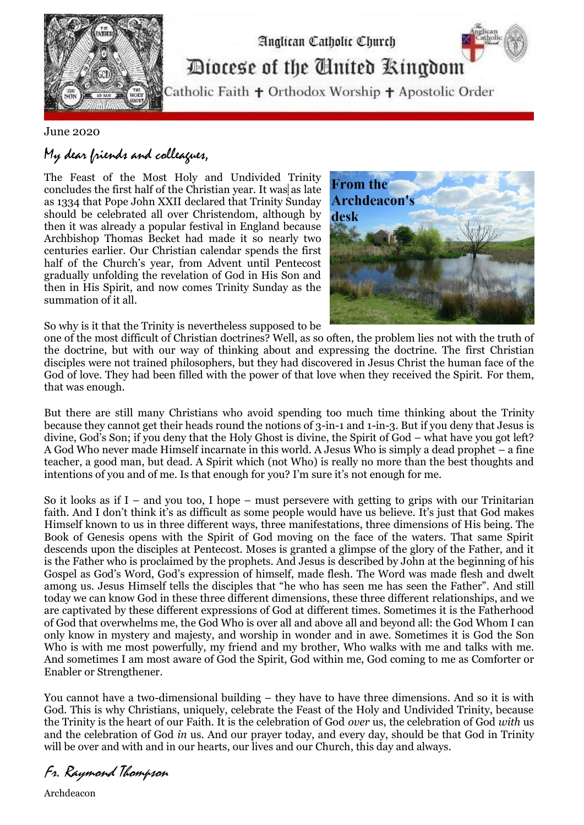

## Diocese of the Cinited Ringdom

Analican Catholic Church

Catholic Faith + Orthodox Worship + Apostolic Order

June 2020

My dear friends and colleagues,

The Feast of the Most Holy and Undivided Trinity concludes the first half of the Christian year. It was as late as 1334 that Pope John XXII declared that Trinity Sunday should be celebrated all over Christendom, although by then it was already a popular festival in England because Archbishop Thomas Becket had made it so nearly two centuries earlier. Our Christian calendar spends the first half of the Church's year, from Advent until Pentecost gradually unfolding the revelation of God in His Son and then in His Spirit, and now comes Trinity Sunday as the summation of it all.



So why is it that the Trinity is nevertheless supposed to be

one of the most difficult of Christian doctrines? Well, as so often, the problem lies not with the truth of the doctrine, but with our way of thinking about and expressing the doctrine. The first Christian disciples were not trained philosophers, but they had discovered in Jesus Christ the human face of the God of love. They had been filled with the power of that love when they received the Spirit. For them, that was enough.

But there are still many Christians who avoid spending too much time thinking about the Trinity because they cannot get their heads round the notions of 3-in-1 and 1-in-3. But if you deny that Jesus is divine, God's Son; if you deny that the Holy Ghost is divine, the Spirit of God – what have you got left? A God Who never made Himself incarnate in this world. A Jesus Who is simply a dead prophet – a fine teacher, a good man, but dead. A Spirit which (not Who) is really no more than the best thoughts and intentions of you and of me. Is that enough for you? I'm sure it's not enough for me.

So it looks as if I – and you too, I hope – must persevere with getting to grips with our Trinitarian faith. And I don't think it's as difficult as some people would have us believe. It's just that God makes Himself known to us in three different ways, three manifestations, three dimensions of His being. The Book of Genesis opens with the Spirit of God moving on the face of the waters. That same Spirit descends upon the disciples at Pentecost. Moses is granted a glimpse of the glory of the Father, and it is the Father who is proclaimed by the prophets. And Jesus is described by John at the beginning of his Gospel as God's Word, God's expression of himself, made flesh. The Word was made flesh and dwelt among us. Jesus Himself tells the disciples that "he who has seen me has seen the Father". And still today we can know God in these three different dimensions, these three different relationships, and we are captivated by these different expressions of God at different times. Sometimes it is the Fatherhood of God that overwhelms me, the God Who is over all and above all and beyond all: the God Whom I can only know in mystery and majesty, and worship in wonder and in awe. Sometimes it is God the Son Who is with me most powerfully, my friend and my brother, Who walks with me and talks with me. And sometimes I am most aware of God the Spirit, God within me, God coming to me as Comforter or Enabler or Strengthener.

You cannot have a two-dimensional building – they have to have three dimensions. And so it is with God. This is why Christians, uniquely, celebrate the Feast of the Holy and Undivided Trinity, because the Trinity is the heart of our Faith. It is the celebration of God *over* us, the celebration of God *with* us and the celebration of God *in* us. And our prayer today, and every day, should be that God in Trinity will be over and with and in our hearts, our lives and our Church, this day and always.

Fr. Raymond Thompson

Archdeacon